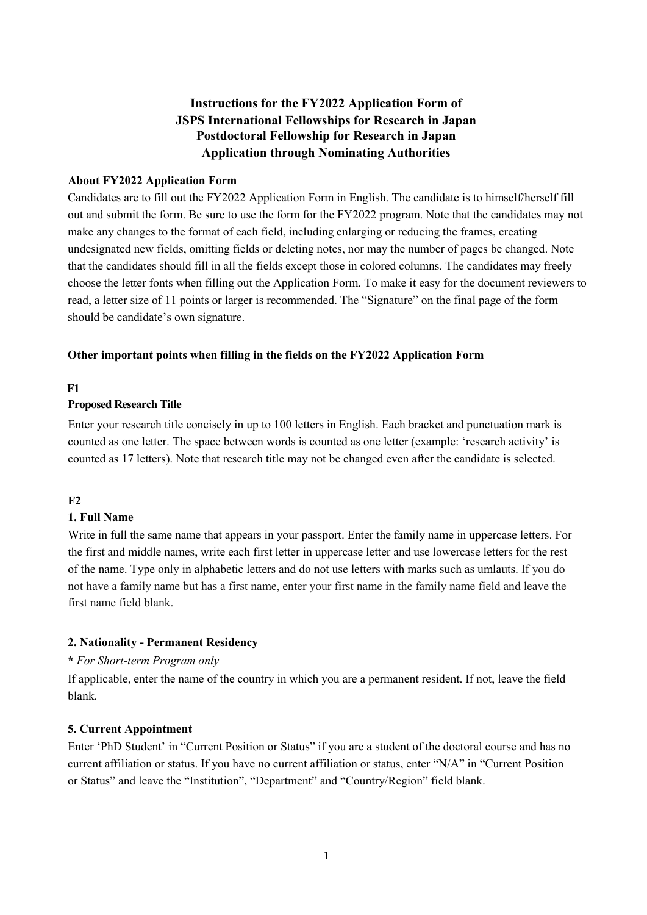# **Instructions for the FY2022 Application Form of JSPS International Fellowships for Research in Japan Postdoctoral Fellowship for Research in Japan Application through Nominating Authorities**

### **About FY2022 Application Form**

Candidates are to fill out the FY2022 Application Form in English. The candidate is to himself/herself fill out and submit the form. Be sure to use the form for the FY2022 program. Note that the candidates may not make any changes to the format of each field, including enlarging or reducing the frames, creating undesignated new fields, omitting fields or deleting notes, nor may the number of pages be changed. Note that the candidates should fill in all the fields except those in colored columns. The candidates may freely choose the letter fonts when filling out the Application Form. To make it easy for the document reviewers to read, a letter size of 11 points or larger is recommended. The "Signature" on the final page of the form should be candidate's own signature.

#### **Other important points when filling in the fields on the FY2022 Application Form**

### **F1**

#### **Proposed Research Title**

Enter your research title concisely in up to 100 letters in English. Each bracket and punctuation mark is counted as one letter. The space between words is counted as one letter (example: 'research activity' is counted as 17 letters). Note that research title may not be changed even after the candidate is selected.

### **F2**

### **1. Full Name**

Write in full the same name that appears in your passport. Enter the family name in uppercase letters. For the first and middle names, write each first letter in uppercase letter and use lowercase letters for the rest of the name. Type only in alphabetic letters and do not use letters with marks such as umlauts. If you do not have a family name but has a first name, enter your first name in the family name field and leave the first name field blank.

### **2. Nationality - Permanent Residency**

### **\*** *For Short-term Program only*

If applicable, enter the name of the country in which you are a permanent resident. If not, leave the field blank.

#### **5. Current Appointment**

Enter 'PhD Student' in "Current Position or Status" if you are a student of the doctoral course and has no current affiliation or status. If you have no current affiliation or status, enter "N/A" in "Current Position or Status" and leave the "Institution", "Department" and "Country/Region" field blank.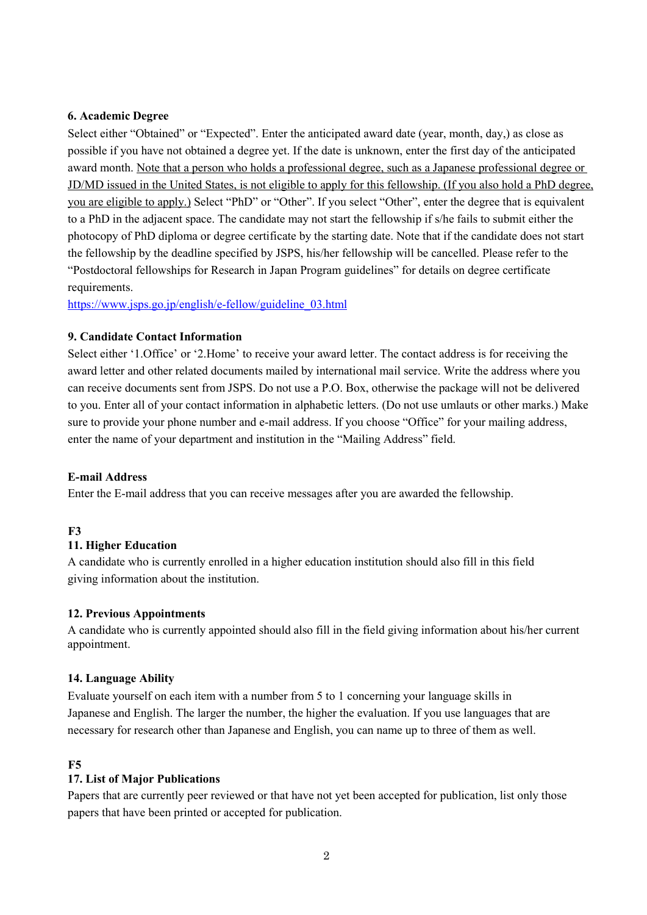### **6. Academic Degree**

Select either "Obtained" or "Expected". Enter the anticipated award date (year, month, day,) as close as possible if you have not obtained a degree yet. If the date is unknown, enter the first day of the anticipated award month. Note that a person who holds a professional degree, such as a Japanese professional degree or JD/MD issued in the United States, is not eligible to apply for this fellowship. (If you also hold a PhD degree, you are eligible to apply.) Select "PhD" or "Other". If you select "Other", enter the degree that is equivalent to a PhD in the adjacent space. The candidate may not start the fellowship if s/he fails to submit either the photocopy of PhD diploma or degree certificate by the starting date. Note that if the candidate does not start the fellowship by the deadline specified by JSPS, his/her fellowship will be cancelled. Please refer to the "Postdoctoral fellowships for Research in Japan Program guidelines" for details on degree certificate requirements.

https://www.jsps.go.jp/english/e-fellow/guideline\_03.html

### **9. Candidate Contact Information**

Select either '1.Office' or '2.Home' to receive your award letter. The contact address is for receiving the award letter and other related documents mailed by international mail service. Write the address where you can receive documents sent from JSPS. Do not use a P.O. Box, otherwise the package will not be delivered to you. Enter all of your contact information in alphabetic letters. (Do not use umlauts or other marks.) Make sure to provide your phone number and e-mail address. If you choose "Office" for your mailing address, enter the name of your department and institution in the "Mailing Address" field.

### **E-mail Address**

Enter the E-mail address that you can receive messages after you are awarded the fellowship.

### **F3**

### **11. Higher Education**

A candidate who is currently enrolled in a higher education institution should also fill in this field giving information about the institution.

### **12. Previous Appointments**

A candidate who is currently appointed should also fill in the field giving information about his/her current appointment.

### **14. Language Ability**

Evaluate yourself on each item with a number from 5 to 1 concerning your language skills in Japanese and English. The larger the number, the higher the evaluation. If you use languages that are necessary for research other than Japanese and English, you can name up to three of them as well.

### **F5**

### **17. List of Major Publications**

Papers that are currently peer reviewed or that have not yet been accepted for publication, list only those papers that have been printed or accepted for publication.